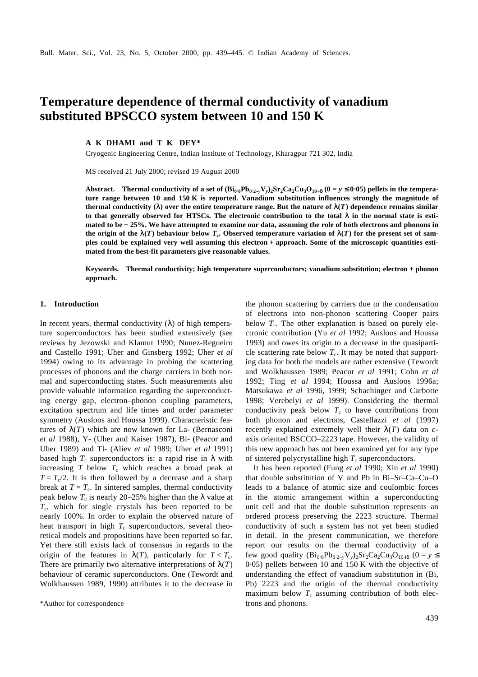# **Temperature dependence of thermal conductivity of vanadium substituted BPSCCO system between 10 and 150 K**

**A K DHAMI and T K DEY\***

Cryogenic Engineering Centre, Indian Institute of Technology, Kharagpur 721 302, India

MS received 21 July 2000; revised 19 August 2000

Abstract. Thermal conductivity of a set of  $(Bi_0.8Pb_0.2-yV_y)Sr_2Ca_2Cu_3O_{10+d}$  ( $0=y \le 0.05$ ) pellets in the tempera**ture range between 10 and 150 K is reported. Vanadium substitution influences strongly the magnitude of thermal conductivity (***l***) over the entire temperature range. But the nature of**  $I(T)$  **dependence remains similar to that generally observed for HTSCs. The electronic contribution to the total** *l* **in the normal state is estimated to be ~ 25%. We have attempted to examine our data, assuming the role of both electrons and phonons in**  the origin of the  $I(T)$  behaviour below  $T_c$ . Observed temperature variation of  $I(T)$  for the present set of sam**ples could be explained very well assuming this electron + approach. Some of the microscopic quantities estimated from the best-fit parameters give reasonable values.**

**Keywords. Thermal conductivity; high temperature superconductors; vanadium substitution; electron + phonon approach.**

## **1. Introduction**

In recent years, thermal conductivity (*l*) of high temperature superconductors has been studied extensively (see reviews by Jezowski and Klamut 1990; Nunez-Regueiro and Castello 1991; Uher and Ginsberg 1992; Uher *et al* 1994) owing to its advantage in probing the scattering processes of phonons and the charge carriers in both normal and superconducting states. Such measurements also provide valuable information regarding the superconducting energy gap, electron–phonon coupling parameters, excitation spectrum and life times and order parameter symmetry (Ausloos and Houssa 1999). Characteristic features of  $I(T)$  which are now known for La- (Bernasconi *et al* 1988), Y- (Uher and Kaiser 1987), Bi- (Peacor and Uher 1989) and Tl- (Aliev *et al* 1989; Uher *et al* 1991) based high  $T_c$  superconductors is: a rapid rise in *l* with increasing  $T$  below  $T_c$  which reaches a broad peak at  $T = T_c/2$ . It is then followed by a decrease and a sharp break at  $T = T_c$ . In sintered samples, thermal conductivity peak below  $T_c$  is nearly 20–25% higher than the *l* value at *T*c , which for single crystals has been reported to be nearly 100%. In order to explain the observed nature of heat transport in high  $T_c$  superconductors, several theoretical models and propositions have been reported so far. Yet there still exists lack of consensus in regards to the origin of the features in  $I(T)$ , particularly for  $T < T_c$ . There are primarily two alternative interpretations of  $I(T)$ behaviour of ceramic superconductors. One (Tewordt and Wolkhaussen 1989, 1990) attributes it to the decrease in

the phonon scattering by carriers due to the condensation of electrons into non-phonon scattering Cooper pairs below  $T_c$ . The other explanation is based on purely electronic contribution (Yu *et al* 1992; Ausloos and Houssa 1993) and owes its origin to a decrease in the quasiparticle scattering rate below  $T_c$ . It may be noted that supporting data for both the models are rather extensive (Tewordt and Wolkhaussen 1989; Peacor *et al* 1991; Cohn *et al* 1992; Ting *et al* 1994; Houssa and Ausloos 1996a; Matsukawa *et al* 1996, 1999; Schachinger and Carbotte 1998; Verebelyi *et al* 1999). Considering the thermal conductivity peak below  $T_c$  to have contributions from both phonon and electrons, Castellazzi *et al* (1997) recently explained extremely well their *l*(*T*) data on *c*axis oriented BSCCO–2223 tape. However, the validity of this new approach has not been examined yet for any type of sintered polycrystalline high  $T_c$  superconductors.

It has been reported (Fung *et al* 1990; Xin *et al* 1990) that double substitution of V and Pb in Bi–Sr–Ca–Cu–O leads to a balance of atomic size and coulombic forces in the atomic arrangement within a superconducting unit cell and that the double substitution represents an ordered process preserving the 2223 structure. Thermal conductivity of such a system has not yet been studied in detail. In the present communication, we therefore report our results on the thermal conductivity of a few good quality  $(Bi_{0.8}Pb_{0.2-y}V_y)_2Sr_2Ca_2Cu_3O_{10+**d**}$  (0 = *y* ≤ 0⋅05) pellets between 10 and 150 K with the objective of understanding the effect of vanadium substitution in (Bi, Pb) 2223 and the origin of the thermal conductivity maximum below  $T_c$  assuming contribution of both elec-\*Author for correspondence trons and phonons.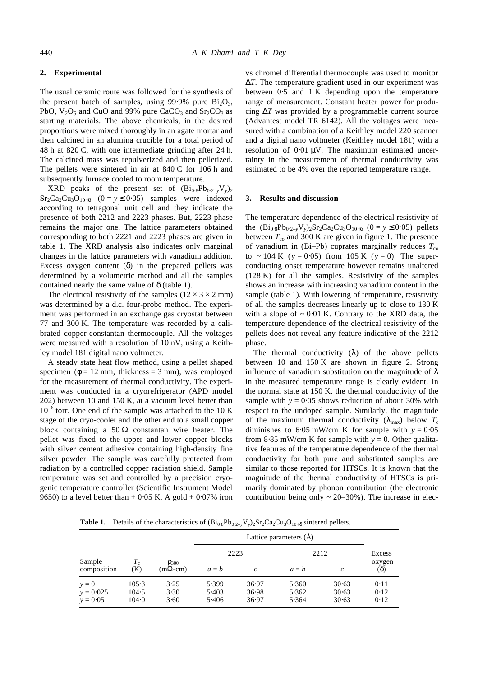#### **2. Experimental**

The usual ceramic route was followed for the synthesis of the present batch of samples, using 99⋅9% pure  $Bi<sub>2</sub>O<sub>3</sub>$ , PbO,  $V_2O_5$  and CuO and 99% pure CaCO<sub>3</sub> and Sr<sub>2</sub>CO<sub>3</sub> as starting materials. The above chemicals, in the desired proportions were mixed thoroughly in an agate mortar and then calcined in an alumina crucible for a total period of 48 h at 820 C, with one intermediate grinding after 24 h. The calcined mass was repulverized and then pelletized. The pellets were sintered in air at 840 C for 106 h and subsequently furnace cooled to room temperature.

XRD peaks of the present set of  $(Bi_{0.8}Pb_{0.2-y}V_y)_2$  $Sr_2Ca_2Cu_3O_{10+*d*}$  (0 = *y* ≤ 0⋅05) samples were indexed according to tetragonal unit cell and they indicate the presence of both 2212 and 2223 phases. But, 2223 phase remains the major one. The lattice parameters obtained corresponding to both 2221 and 2223 phases are given in table 1. The XRD analysis also indicates only marginal changes in the lattice parameters with vanadium addition. Excess oxygen content (*d*) in the prepared pellets was determined by a volumetric method and all the samples contained nearly the same value of *d* (table 1).

The electrical resistivity of the samples  $(12 \times 3 \times 2 \text{ mm})$ was determined by a d.c. four-probe method. The experiment was performed in an exchange gas cryostat between 77 and 300 K. The temperature was recorded by a calibrated copper-constantan thermocouple. All the voltages were measured with a resolution of 10 nV, using a Keithley model 181 digital nano voltmeter.

A steady state heat flow method, using a pellet shaped specimen ( $\mathbf{f} = 12$  mm, thickness = 3 mm), was employed for the measurement of thermal conductivity. The experiment was conducted in a cryorefrigerator (APD model 202) between 10 and 150 K, at a vacuum level better than 10<sup>-6</sup> torr. One end of the sample was attached to the 10 K stage of the cryo-cooler and the other end to a small copper block containing a  $50 \Omega$  constantan wire heater. The pellet was fixed to the upper and lower copper blocks with silver cement adhesive containing high-density fine silver powder. The sample was carefully protected from radiation by a controlled copper radiation shield. Sample temperature was set and controlled by a precision cryogenic temperature controller (Scientific Instrument Model 9650) to a level better than + 0⋅05 K. A gold + 0⋅07% iron

vs chromel differential thermocouple was used to monitor Δ*T*. The temperature gradient used in our experiment was between 0⋅5 and 1 K depending upon the temperature range of measurement. Constant heater power for producing Δ*T* was provided by a programmable current source (Advantest model TR 6142). All the voltages were measured with a combination of a Keithley model 220 scanner and a digital nano voltmeter (Keithley model 181) with a resolution of 0⋅01 μV. The maximum estimated uncertainty in the measurement of thermal conductivity was estimated to be 4% over the reported temperature range.

## **3. Results and discussion**

The temperature dependence of the electrical resistivity of the  $(Bi_{0.8}Pb_{0.2-v}V_y)_{2}Sr_2Ca_2Cu_3O_{10+d}$  (0 = *y* ≤ 0⋅05) pellets between  $T_{\text{co}}$  and 300 K are given in figure 1. The presence of vanadium in (Bi–Pb) cuprates marginally reduces  $T_{\rm co}$ to ~ 104 K ( $y = 0.05$ ) from 105 K ( $y = 0$ ). The superconducting onset temperature however remains unaltered (128 K) for all the samples. Resistivity of the samples shows an increase with increasing vanadium content in the sample (table 1). With lowering of temperature, resistivity of all the samples decreases linearly up to close to 130 K with a slope of  $\sim 0.01$  K. Contrary to the XRD data, the temperature dependence of the electrical resistivity of the pellets does not reveal any feature indicative of the 2212 phase.

The thermal conductivity (*l*) of the above pellets between 10 and 150 K are shown in figure 2. Strong influence of vanadium substitution on the magnitude of *l* in the measured temperature range is clearly evident. In the normal state at 150 K, the thermal conductivity of the sample with  $y = 0.05$  shows reduction of about 30% with respect to the undoped sample. Similarly, the magnitude of the maximum thermal conductivity  $(I_{\text{max}})$  below  $T_c$ diminishes to  $6·05$  mW/cm K for sample with  $y = 0·05$ from 8⋅85 mW/cm K for sample with  $y = 0$ . Other qualitative features of the temperature dependence of the thermal conductivity for both pure and substituted samples are similar to those reported for HTSCs. It is known that the magnitude of the thermal conductivity of HTSCs is primarily dominated by phonon contribution (the electronic contribution being only  $\sim$  20–30%). The increase in elec-

**Table 1.** Details of the characteristics of  $(Bi_{0.8}Pb_{0.2-y}V_y)_2Sr_2Ca_2Cu_3O_{10+**d**}$  sintered pellets.

|                                      |                         |                                       | Lattice parameters (A)  |                         |                         |                         |                      |
|--------------------------------------|-------------------------|---------------------------------------|-------------------------|-------------------------|-------------------------|-------------------------|----------------------|
|                                      |                         |                                       | 2223                    |                         | 2212                    |                         | Excess               |
| Sample<br>composition                | $T_{\rm c}$<br>(K)      | $\mathbf{r}_{300}$<br>$(m\Omega$ -cm) | $a = b$                 | c                       | $a = b$                 | $\mathcal{C}$           | oxygen<br>(d)        |
| $y = 0$<br>$y = 0.025$<br>$y = 0.05$ | 105.3<br>104.5<br>104.0 | 3.25<br>3.30<br>3.60                  | 5.399<br>5.403<br>5.406 | 36.97<br>36.98<br>36.97 | 5.360<br>5.362<br>5.364 | 30.63<br>30.63<br>30.63 | 0.11<br>0.12<br>0.12 |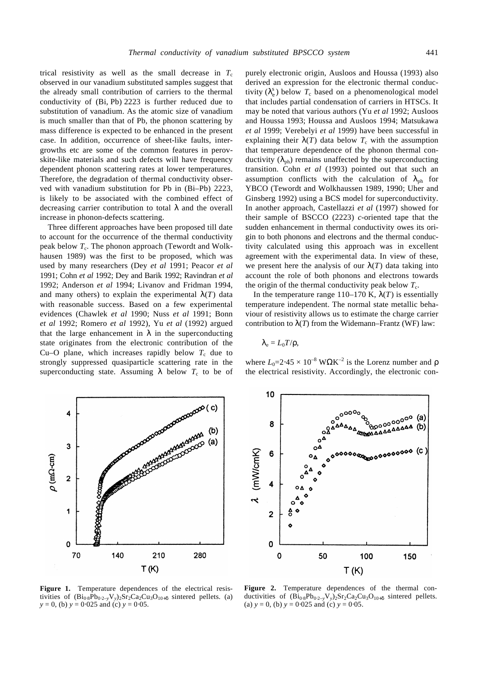trical resistivity as well as the small decrease in  $T_c$ observed in our vanadium substituted samples suggest that the already small contribution of carriers to the thermal conductivity of (Bi, Pb) 2223 is further reduced due to substitution of vanadium. As the atomic size of vanadium is much smaller than that of Pb, the phonon scattering by mass difference is expected to be enhanced in the present case. In addition, occurrence of sheet-like faults, intergrowths etc are some of the common features in perovskite-like materials and such defects will have frequency dependent phonon scattering rates at lower temperatures. Therefore, the degradation of thermal conductivity observed with vanadium substitution for Pb in (Bi–Pb) 2223, is likely to be associated with the combined effect of decreasing carrier contribution to total *l* and the overall increase in phonon-defects scattering.

Three different approaches have been proposed till date to account for the occurrence of the thermal conductivity peak below  $T_c$ . The phonon approach (Tewordt and Wolkhausen 1989) was the first to be proposed, which was used by many researchers (Dey *et al* 1991; Peacor *et al* 1991; Cohn *et al* 1992; Dey and Barik 1992; Ravindran *et al* 1992; Anderson *et al* 1994; Livanov and Fridman 1994, and many others) to explain the experimental  $I(T)$  data with reasonable success. Based on a few experimental evidences (Chawlek *et al* 1990; Nuss *et al* 1991; Bonn *et al* 1992; Romero *et al* 1992), Yu *et al* (1992) argued that the large enhancement in  $\bm{l}$  in the superconducting state originates from the electronic contribution of the Cu–O plane, which increases rapidly below  $T_c$  due to strongly suppressed quasiparticle scattering rate in the superconducting state. Assuming  $\boldsymbol{I}$  below  $T_c$  to be of

purely electronic origin, Ausloos and Houssa (1993) also derived an expression for the electronic thermal conductivity  $(I_e^s)$  below  $T_c$  based on a phenomenological model that includes partial condensation of carriers in HTSCs. It may be noted that various authors (Yu *et al* 1992; Ausloos and Houssa 1993; Houssa and Ausloos 1994; Matsukawa *et al* 1999; Verebelyi *et al* 1999) have been successful in explaining their  $I(T)$  data below  $T_c$  with the assumption that temperature dependence of the phonon thermal conductivity  $(I_{\text{ph}})$  remains unaffected by the superconducting transition. Cohn *et al* (1993) pointed out that such an assumption conflicts with the calculation of  $I_{\text{ph}}$  for YBCO (Tewordt and Wolkhaussen 1989, 1990; Uher and Ginsberg 1992) using a BCS model for superconductivity. In another approach, Castellazzi *et al* (1997) showed for their sample of BSCCO (2223) *c*-oriented tape that the sudden enhancement in thermal conductivity owes its origin to both phonons and electrons and the thermal conductivity calculated using this approach was in excellent agreement with the experimental data. In view of these, we present here the analysis of our  $I(T)$  data taking into account the role of both phonons and electrons towards the origin of the thermal conductivity peak below  $T_c$ .

In the temperature range 110–170 K,  $I(T)$  is essentially temperature independent. The normal state metallic behaviour of resistivity allows us to estimate the charge carrier contribution to  $I(T)$  from the Widemann–Frantz (WF) law:

$$
\bm{I}_{\mathrm{e}}=L_{0}T/\bm{r},
$$

where  $L_0$ =2⋅45 × 10<sup>-8</sup> WΩK<sup>-2</sup> is the Lorenz number and **r** the electrical resistivity. Accordingly, the electronic con-





**Figure 1.** Temperature dependences of the electrical resistivities of  $(Bi_{0.8}Pb_{0.2-y}V_y)_2Sr_2Ca_2Cu_3O_{10+**d**}$  sintered pellets. (a) *y* = 0, (b) *y* = 0⋅025 and (c) *y* = 0⋅05.

**Figure 2.** Temperature dependences of the thermal conductivities of  $(Bi_{0.8}Pb_{0.2-y}V_y)_2Sr_2Ca_2Cu_3O_{10+*d*}$  sintered pellets. (a)  $y = 0$ , (b)  $y = 0.025$  and (c)  $y = 0.05$ .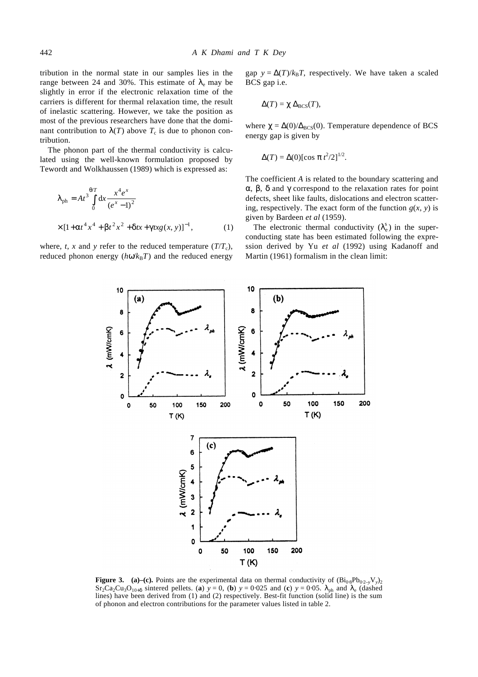tribution in the normal state in our samples lies in the range between 24 and 30%. This estimate of  $I_e$  may be slightly in error if the electronic relaxation time of the carriers is different for thermal relaxation time, the result of inelastic scattering. However, we take the position as most of the previous researchers have done that the dominant contribution to  $I(T)$  above  $T_c$  is due to phonon contribution.

The phonon part of the thermal conductivity is calculated using the well-known formulation proposed by Tewordt and Wolkhaussen (1989) which is expressed as:

$$
\mathbf{I}_{ph} = At^3 \int_0^{\mathbf{q}T} dx \frac{x^4 e^x}{(e^x - 1)^2}
$$
  
× [1+**at**<sup>4</sup> x<sup>4</sup> + **bt**<sup>2</sup> x<sup>2</sup> + **dt**x + **g** xg(x, y)]<sup>-1</sup>, (1)

where, *t*, *x* and *y* refer to the reduced temperature  $(T/T_c)$ , reduced phonon energy  $(h\textbf{w}/k_{\text{B}}T)$  and the reduced energy gap  $y = \Delta(T)/k_B T$ , respectively. We have taken a scaled BCS gap i.e.

$$
\Delta(T) = \mathbf{c} \, \Delta_{\rm BCS}(T),
$$

where  $\mathbf{c} = \Delta(0)/\Delta_{BCS}(0)$ . Temperature dependence of BCS energy gap is given by

$$
\Delta(T) = \Delta(0) [\cos \mathbf{p} t^2/2]^{1/2}.
$$

The coefficient *A* is related to the boundary scattering and *a*, *b*, *d* and *g* correspond to the relaxation rates for point defects, sheet like faults, dislocations and electron scattering, respectively. The exact form of the function  $g(x, y)$  is given by Bardeen *et al* (1959).

The electronic thermal conductivity  $(I_e^s)$  in the superconducting state has been estimated following the expression derived by Yu *et al* (1992) using Kadanoff and Martin (1961) formalism in the clean limit:



**Figure 3.** (a)–(c). Points are the experimental data on thermal conductivity of  $(Bi_{0.8}Pb_{0.2-y}V_y)_2$  $Sr_2Ca_2Cu_3O_{10+d}$  sintered pellets. (a)  $y = 0$ , (b)  $y = 0.025$  and (c)  $y = 0.05$ .  $\mathbf{I}_{ph}$  and  $\mathbf{I}_{e}$  (dashed lines) have been derived from (1) and (2) respectively. Best-fit function (solid line) is the sum of phonon and electron contributions for the parameter values listed in table 2.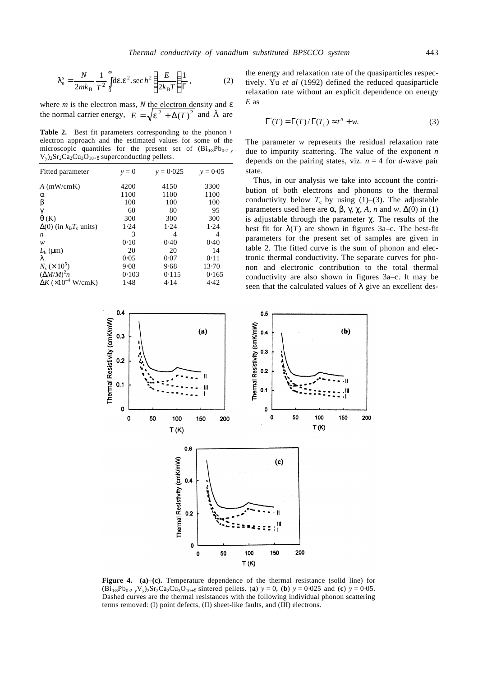$$
\mathbf{I}_{\text{e}}^{\text{s}} = \frac{N}{2mk_{\text{B}}} \frac{1}{T^2} \int_{0}^{\infty} \text{d}\mathbf{e} \cdot \mathbf{e}^2 \cdot \sec h^2 \left(\frac{E}{2k_{\text{B}}T}\right) \frac{1}{\Gamma},\tag{2}
$$

where *m* is the electron mass, *N* the electron density and *e* the normal carrier energy,  $E = \sqrt{e^2 + \Delta(T)^2}$  and  $\tilde{A}$  are

**Table 2.** Best fit parameters corresponding to the phonon + electron approach and the estimated values for some of the microscopic quantities for the present set of  $(Bi_{0.8}Pb_{0.2-v})$  $V_y$ )<sub>2</sub>Sr<sub>2</sub>Ca<sub>2</sub>Cu<sub>3</sub>O<sub>10+</sub>**d** superconducting pellets.

| Fitted parameter                     | $v = 0$ | $v = 0.025$ | $v = 0.05$ |
|--------------------------------------|---------|-------------|------------|
| $A$ (mW/cmK)                         | 4200    | 4150        | 3300       |
| a                                    | 1100    | 1100        | 1100       |
| b                                    | 100     | 100         | 100        |
| g                                    | 60      | 80          | 95         |
| q(K)                                 | 300     | 300         | 300        |
| $\Delta(0)$ (in $k_BT_c$ units)      | 1.24    | 1.24        | 1.24       |
| n                                    | 3       | 4           | 4          |
| w                                    | 0.10    | 0.40        | 0.40       |
| $L_{\rm b}$ (µm)                     | 20      | 20          | 14         |
|                                      | 0.05    | 0.07        | 0.11       |
| $N_{\rm s} \times 10^5$              | 9.08    | 9.68        | 13.70      |
| $(\Delta M/M)^2 n$                   | 0.103   | 0.115       | 0.165      |
| $\Delta K$ (×10 <sup>-4</sup> W/cmK) | 1.48    | 4.14        | 4.42       |

the energy and relaxation rate of the quasiparticles respectively. Yu *et al* (1992) defined the reduced quasiparticle relaxation rate without an explicit dependence on energy *E* as

$$
\Gamma'(T) = \Gamma(T) / \Gamma(T_c) \approx t^n + w.
$$
 (3)

The parameter *w* represents the residual relaxation rate due to impurity scattering. The value of the exponent *n* depends on the pairing states, viz.  $n = 4$  for *d*-wave pair state.

Thus, in our analysis we take into account the contribution of both electrons and phonons to the thermal conductivity below  $T_c$  by using (1)–(3). The adjustable parameters used here are **a**, **b**, **g c**, A, *n* and *w*.  $\Delta(0)$  in (1) is adjustable through the parameter *c*. The results of the best fit for  $I(T)$  are shown in figures 3a–c. The best-fit parameters for the present set of samples are given in table 2. The fitted curve is the sum of phonon and electronic thermal conductivity. The separate curves for phonon and electronic contribution to the total thermal conductivity are also shown in figures 3a–c. It may be seen that the calculated values of *l* give an excellent des-



**Figure 4.** (a)–(c). Temperature dependence of the thermal resistance (solid line) for  $(Bi_{0.8}Pb_{0.2-y}V_y)_2Sr_2Ca_2Cu_3O_{10+**d**}$  sintered pellets. (**a**)  $y = 0$ , (**b**)  $y = 0.025$  and (**c**)  $y = 0.05$ . Dashed curves are the thermal resistances with the following individual phonon scattering terms removed: (I) point defects, (II) sheet-like faults, and (III) electrons.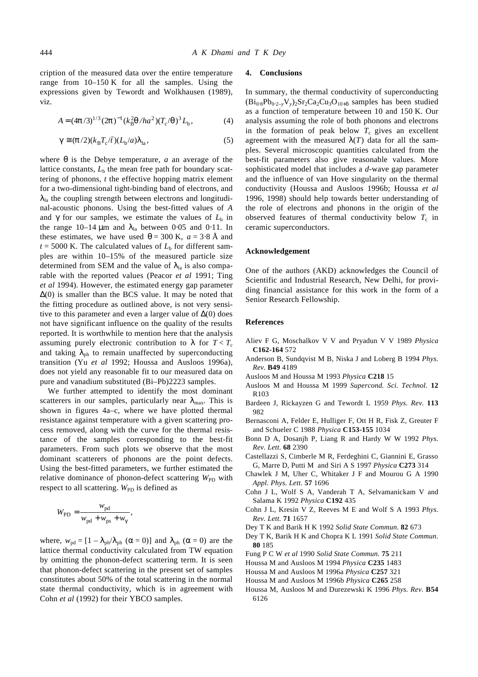cription of the measured data over the entire temperature range from 10–150 K for all the samples. Using the expressions given by Tewordt and Wolkhausen (1989), viz.

$$
A = (4\mathbf{p}/3)^{1/3} (2\mathbf{p})^{-1} (k_B^2 \mathbf{q}/ha^2) (T_c / \mathbf{q})^3 L_b,
$$
 (4)

$$
\mathbf{g} \cong (\mathbf{p}/2)(k_{\mathrm{B}}T_{\mathrm{c}}/\bar{t})(L_{\mathrm{b}}/a)\mathbf{I}_{\mathrm{la}},
$$
\n(5)

where *q* is the Debye temperature, *a* an average of the lattice constants,  $L<sub>b</sub>$  the mean free path for boundary scattering of phonons, *t* the effective hopping matrix element for a two-dimensional tight-binding band of electrons, and  $I<sub>la</sub>$  the coupling strength between electrons and longitudinal-acoustic phonons. Using the best-fitted values of *A* and  $g$  for our samples, we estimate the values of  $L<sub>b</sub>$  in the range  $10-14 \mu m$  and  $I_{1a}$  between 0⋅05 and 0⋅11. In these estimates, we have used  $q = 300$  K,  $a = 3.8$  Å and  $t = 5000$  K. The calculated values of  $L<sub>b</sub>$  for different samples are within 10–15% of the measured particle size determined from SEM and the value of  $I_{1a}$  is also comparable with the reported values (Peacor *et al* 1991; Ting *et al* 1994). However, the estimated energy gap parameter  $\Delta(0)$  is smaller than the BCS value. It may be noted that the fitting procedure as outlined above, is not very sensitive to this parameter and even a larger value of  $\Delta(0)$  does not have significant influence on the quality of the results reported. It is worthwhile to mention here that the analysis assuming purely electronic contribution to *l* for  $T < T_c$ and taking  $I_{\text{ph}}$  to remain unaffected by superconducting transition (Yu *et al* 1992; Houssa and Ausloos 1996a), does not yield any reasonable fit to our measured data on pure and vanadium substituted (Bi–Pb)2223 samples.

We further attempted to identify the most dominant scatterers in our samples, particularly near  $I_{\text{max}}$ . This is shown in figures 4a–c, where we have plotted thermal resistance against temperature with a given scattering process removed, along with the curve for the thermal resistance of the samples corresponding to the best-fit parameters. From such plots we observe that the most dominant scatterers of phonons are the point defects. Using the best-fitted parameters, we further estimated the relative dominance of phonon-defect scattering  $W_{\text{PD}}$  with respect to all scattering. W<sub>PD</sub> is defined as

$$
W_{\rm PD} = \frac{w_{\rm pd}}{w_{\rm pd} + w_{\rm ps} + w_{\rm g}},
$$

where,  $w_{\text{pd}} = [1 - \mathbf{I}_{\text{ph}}/\mathbf{I}_{\text{ph}} \ (\mathbf{a} = 0)]$  and  $\mathbf{I}_{\text{ph}} \ (\mathbf{a} = 0)$  are the lattice thermal conductivity calculated from TW equation by omitting the phonon-defect scattering term. It is seen that phonon-defect scattering in the present set of samples constitutes about 50% of the total scattering in the normal state thermal conductivity, which is in agreement with Cohn *et al* (1992) for their YBCO samples.

## **4. Conclusions**

In summary, the thermal conductivity of superconducting  $(Bi<sub>0.8</sub>Pb<sub>0.2-v</sub>V<sub>v</sub>)<sub>2</sub>Sr<sub>2</sub>Ca<sub>2</sub>Cu<sub>3</sub>O<sub>10+*d*</sub> samples has been studied$ as a function of temperature between 10 and 150 K. Our analysis assuming the role of both phonons and electrons in the formation of peak below  $T_c$  gives an excellent agreement with the measured  $I(T)$  data for all the samples. Several microscopic quantities calculated from the best-fit parameters also give reasonable values. More sophisticated model that includes a *d*-wave gap parameter and the influence of van Hove singularity on the thermal conductivity (Houssa and Ausloos 1996b; Houssa *et al* 1996, 1998) should help towards better understanding of the role of electrons and phonons in the origin of the observed features of thermal conductivity below  $T_c$  in ceramic superconductors.

#### **Acknowledgement**

One of the authors (AKD) acknowledges the Council of Scientific and Industrial Research, New Delhi, for providing financial assistance for this work in the form of a Senior Research Fellowship.

### **References**

- Aliev F G, Moschalkov V V and Pryadun V V 1989 *Physica*  **C162-164** 572
- Anderson B, Sundqvist M B, Niska J and Loberg B 1994 *Phys. Rev.* **B49** 4189
- Ausloos M and Houssa M 1993 *Physica* **C218** 15
- Ausloos M and Houssa M 1999 *Supercond. Sci. Technol.* **12** R103
- Bardeen J, Rickayzen G and Tewordt L 1959 *Phys. Rev.* **113** 982
- Bernasconi A, Felder E, Hulliger F, Ott H R, Fisk Z, Greuter F and Schueler C 1988 *Physica* **C153-155** 1034
- Bonn D A, Dosanjh P, Liang R and Hardy W W 1992 *Phys. Rev. Lett.* **68** 2390
- Castellazzi S, Cimberle M R, Ferdeghini C, Giannini E, Grasso G, Marre D, Putti M and Siri A S 1997 *Physica* **C273** 314
- Chawlek J M, Uher C, Whitaker J F and Mourou G A 1990 *Appl. Phys. Lett.* **57** 1696
- Cohn J L, Wolf S A, Vanderah T A, Selvamanickam V and Salama K 1992 *Physica* **C192** 435
- Cohn J L, Kresin V Z, Reeves M E and Wolf S A 1993 *Phys. Rev. Lett.* **71** 1657
- Dey T K and Barik H K 1992 *Solid State Commun*. **82** 673
- Dey T K, Barik H K and Chopra K L 1991 *Solid State Commun*. **80** 185
- Fung P C W *et al* 1990 *Solid State Commun.* **75** 211
- Houssa M and Ausloos M 1994 *Physica* **C235** 1483
- Houssa M and Ausloos M 1996a *Physica* **C257** 321
- Houssa M and Ausloos M 1996b *Physica* **C265** 258
- Houssa M, Ausloos M and Durezewski K 1996 *Phys. Rev.* **B54** 6126